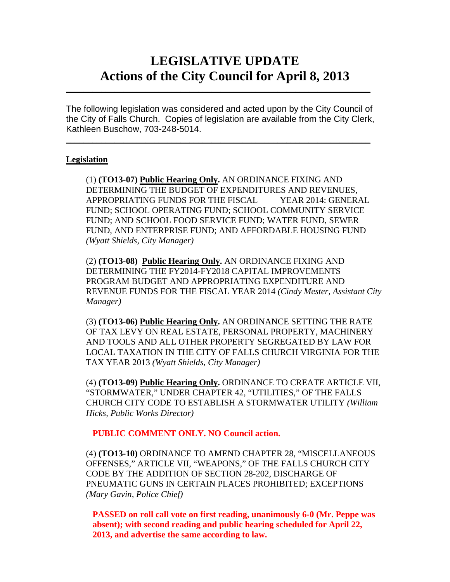# **LEGISLATIVE UPDATE Actions of the City Council for April 8, 2013**

The following legislation was considered and acted upon by the City Council of the City of Falls Church. Copies of legislation are available from the City Clerk, Kathleen Buschow, 703-248-5014.

 $\blacksquare$ 

 $\mathcal{L}_\text{max}$  and  $\mathcal{L}_\text{max}$  and  $\mathcal{L}_\text{max}$  and  $\mathcal{L}_\text{max}$  and  $\mathcal{L}_\text{max}$  and  $\mathcal{L}_\text{max}$ 

#### **Legislation**

(1) **(TO13-07) Public Hearing Only.** AN ORDINANCE FIXING AND DETERMINING THE BUDGET OF EXPENDITURES AND REVENUES, APPROPRIATING FUNDS FOR THE FISCAL YEAR 2014: GENERAL FUND; SCHOOL OPERATING FUND; SCHOOL COMMUNITY SERVICE FUND; AND SCHOOL FOOD SERVICE FUND; WATER FUND, SEWER FUND, AND ENTERPRISE FUND; AND AFFORDABLE HOUSING FUND *(Wyatt Shields, City Manager)*

(2) **(TO13-08) Public Hearing Only.** AN ORDINANCE FIXING AND DETERMINING THE FY2014-FY2018 CAPITAL IMPROVEMENTS PROGRAM BUDGET AND APPROPRIATING EXPENDITURE AND REVENUE FUNDS FOR THE FISCAL YEAR 2014 *(Cindy Mester, Assistant City Manager)*

(3) **(TO13-06) Public Hearing Only.** AN ORDINANCE SETTING THE RATE OF TAX LEVY ON REAL ESTATE, PERSONAL PROPERTY, MACHINERY AND TOOLS AND ALL OTHER PROPERTY SEGREGATED BY LAW FOR LOCAL TAXATION IN THE CITY OF FALLS CHURCH VIRGINIA FOR THE TAX YEAR 2013 *(Wyatt Shields, City Manager)* 

(4) **(TO13-09) Public Hearing Only.** ORDINANCE TO CREATE ARTICLE VII, "STORMWATER," UNDER CHAPTER 42, "UTILITIES," OF THE FALLS CHURCH CITY CODE TO ESTABLISH A STORMWATER UTILITY *(William Hicks, Public Works Director)*

### **PUBLIC COMMENT ONLY. NO Council action.**

(4) **(TO13-10)** ORDINANCE TO AMEND CHAPTER 28, "MISCELLANEOUS OFFENSES," ARTICLE VII, "WEAPONS," OF THE FALLS CHURCH CITY CODE BY THE ADDITION OF SECTION 28-202, DISCHARGE OF PNEUMATIC GUNS IN CERTAIN PLACES PROHIBITED; EXCEPTIONS *(Mary Gavin, Police Chief)*

**PASSED on roll call vote on first reading, unanimously 6-0 (Mr. Peppe was absent); with second reading and public hearing scheduled for April 22, 2013, and advertise the same according to law.**